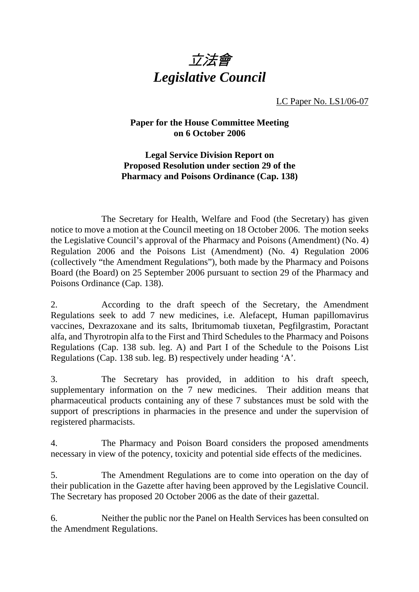

LC Paper No. LS1/06-07

## **Paper for the House Committee Meeting on 6 October 2006**

**Legal Service Division Report on Proposed Resolution under section 29 of the Pharmacy and Poisons Ordinance (Cap. 138)** 

 The Secretary for Health, Welfare and Food (the Secretary) has given notice to move a motion at the Council meeting on 18 October 2006. The motion seeks the Legislative Council's approval of the Pharmacy and Poisons (Amendment) (No. 4) Regulation 2006 and the Poisons List (Amendment) (No. 4) Regulation 2006 (collectively "the Amendment Regulations"), both made by the Pharmacy and Poisons Board (the Board) on 25 September 2006 pursuant to section 29 of the Pharmacy and Poisons Ordinance (Cap. 138).

2. According to the draft speech of the Secretary, the Amendment Regulations seek to add 7 new medicines, i.e. Alefacept, Human papillomavirus vaccines, Dexrazoxane and its salts, Ibritumomab tiuxetan, Pegfilgrastim, Poractant alfa, and Thyrotropin alfa to the First and Third Schedules to the Pharmacy and Poisons Regulations (Cap. 138 sub. leg. A) and Part I of the Schedule to the Poisons List Regulations (Cap. 138 sub. leg. B) respectively under heading 'A'.

3. The Secretary has provided, in addition to his draft speech, supplementary information on the 7 new medicines. Their addition means that pharmaceutical products containing any of these 7 substances must be sold with the support of prescriptions in pharmacies in the presence and under the supervision of registered pharmacists.

4. The Pharmacy and Poison Board considers the proposed amendments necessary in view of the potency, toxicity and potential side effects of the medicines.

5. The Amendment Regulations are to come into operation on the day of their publication in the Gazette after having been approved by the Legislative Council. The Secretary has proposed 20 October 2006 as the date of their gazettal.

6. Neither the public nor the Panel on Health Services has been consulted on the Amendment Regulations.